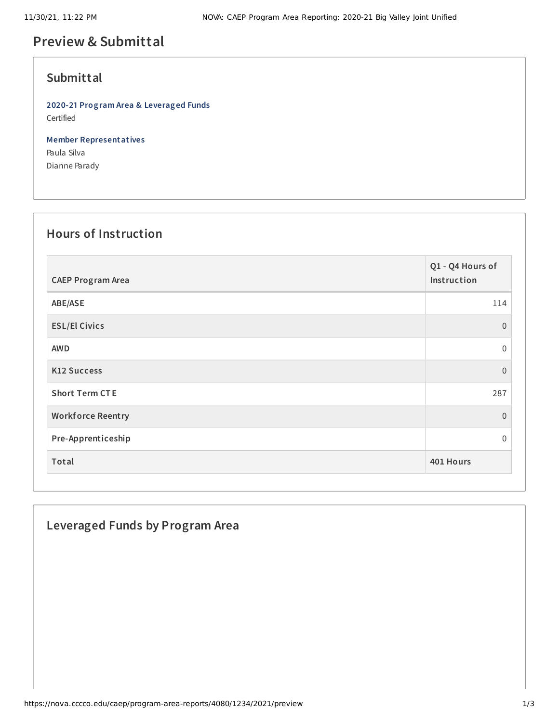# **Preview & Submittal**

## **Submittal**

**2020-21 Program Area & Leveraged Funds** Certified

**Member Representatives** Paula Silva Dianne Parady

#### **Hours of Instruction**

| <b>CAEP Program Area</b> | Q1 - Q4 Hours of<br>Instruction |
|--------------------------|---------------------------------|
| ABE/ASE                  | 114                             |
| <b>ESL/El Civics</b>     | $\overline{0}$                  |
| <b>AWD</b>               | $\mathbf 0$                     |
| <b>K12 Success</b>       | $\overline{0}$                  |
| <b>Short Term CTE</b>    | 287                             |
| <b>Workforce Reentry</b> | $\overline{0}$                  |
| Pre-Apprenticeship       | $\Omega$                        |
| Total                    | 401 Hours                       |

## **Leveraged Funds by Program Area**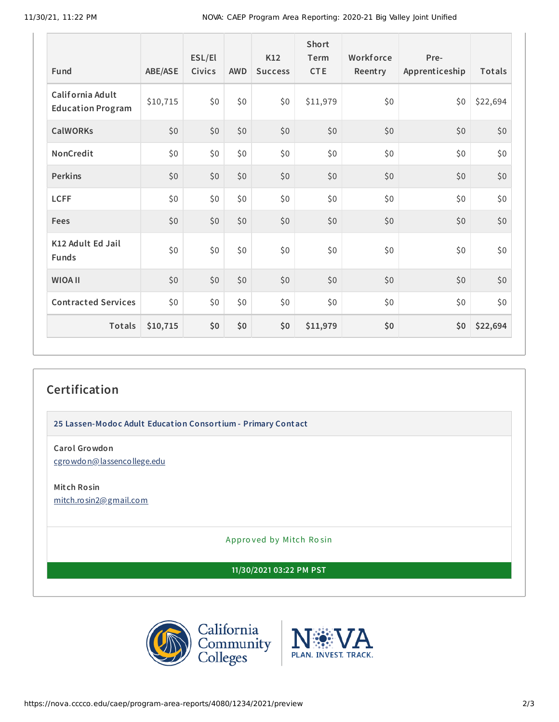11/30/21, 11:22 PM NOVA: CAEP Program Area Reporting: 2020-21 Big Valley Joint Unified

| Fund                                         | ABE/ASE  | ESL/El<br>Civics | <b>AWD</b> | K12<br><b>Success</b> | Short<br>Term<br><b>CTE</b> | Workforce<br>Reentry | Pre-<br>Apprenticeship | <b>Totals</b> |
|----------------------------------------------|----------|------------------|------------|-----------------------|-----------------------------|----------------------|------------------------|---------------|
| California Adult<br><b>Education Program</b> | \$10,715 | \$0              | \$0        | \$0                   | \$11,979                    | \$0                  | \$0                    | \$22,694      |
| <b>CalWORKs</b>                              | \$0      | \$0              | \$0        | \$0                   | \$0                         | \$0                  | \$0                    | \$0           |
| NonCredit                                    | \$0      | \$0              | \$0\$      | \$0                   | \$0                         | \$0                  | \$0                    | \$0           |
| <b>Perkins</b>                               | \$0      | \$0              | \$0        | \$0                   | \$0                         | \$0                  | \$0                    | \$0           |
| <b>LCFF</b>                                  | \$0\$    | \$0              | \$0        | \$0                   | \$0                         | \$0                  | \$0                    | \$0           |
| Fees                                         | \$0      | \$0              | \$0        | \$0                   | \$0                         | \$0                  | \$0                    | \$0           |
| K12 Adult Ed Jail<br><b>Funds</b>            | \$0      | \$0              | \$0        | \$0                   | \$0                         | \$0                  | \$0                    | \$0           |
| <b>WIOA II</b>                               | \$0      | \$0              | \$0        | \$0                   | \$0                         | \$0                  | \$0                    | \$0           |
| <b>Contracted Services</b>                   | \$0\$    | \$0              | \$0\$      | \$0                   | \$0                         | \$0                  | \$0                    | \$0           |
| Totals                                       | \$10,715 | \$0              | \$0        | \$0                   | \$11,979                    | \$0                  | \$0                    | \$22,694      |

## **Certification**

**25 Lassen-Modoc Adult Education Consortium - Primary Contact**

**Carol Growdon** [cgrowdon@lassencollege.edu](mailto:cgrowdon@lassencollege.edu)

**Mitch Rosin** [mitch.rosin2@gmail.com](mailto:mitch.rosin2@gmail.com)

Appro ved by Mitch Ro sin

**11/30/2021 03:22 PM PST**